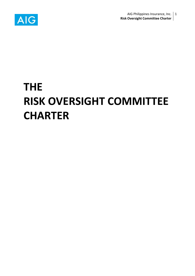

# **THE RISK OVERSIGHT COMMITTEE CHARTER**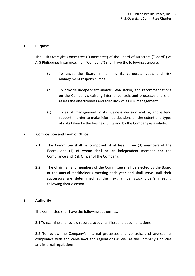### **1. Purpose**

The Risk Oversight Committee ("Committee) of the Board of Directors ("Board") of AIG Philippines Insurance, Inc. ("Company") shall have the following purpose:

- (a) To assist the Board in fulfilling its corporate goals and risk management responsibilities.
- (b) To provide independent analysis, evaluation, and recommendations on the Company's existing internal controls and processes and shall assess the effectiveness and adequacy of its risk management.
- (c) To assist management in its business decision making and extend support in order to make informed decisions on the extent and types of risks taken by the business units and by the Company as a whole.

## **2. Composition and Term of Office**

- 2.1 The Committee shall be composed of at least three (3) members of the Board, one (1) of whom shall be an independent member and the Compliance and Risk Officer of the Company.
- 2.2 The Chairman and members of the Committee shall be elected by the Board at the annual stockholder's meeting each year and shall serve until their successors are determined at the next annual stockholder's meeting following their election.

### **3. Authority**

The Committee shall have the following authorities:

3.1 To examine and review records, accounts, files, and documentations.

3.2 To review the Company's internal processes and controls, and oversee its compliance with applicable laws and regulations as well as the Company's policies and internal regulations;